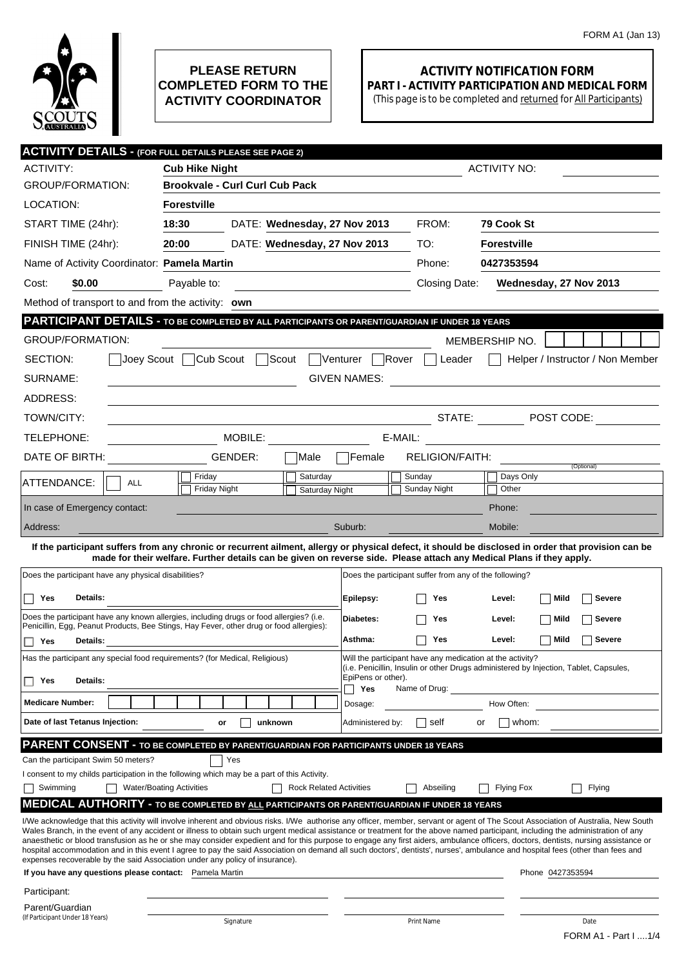

## **PLEASE RETURN COMPLETED FORM TO THE ACTIVITY COORDINATOR**

## **ACTIVITY NOTIFICATION FORM PART I - ACTIVITY PARTICIPATION AND MEDICAL FORM**

(This page is to be completed and returned for All Participants)

|                                                                             | <b>ACTIVITY DETAILS - (FOR FULL DETAILS PLEASE SEE PAGE 2)</b>                                                                                                                                                                                                                                                                                                         |                                |                                                                                                                                                    |                                                        |                     |                                                           |  |  |
|-----------------------------------------------------------------------------|------------------------------------------------------------------------------------------------------------------------------------------------------------------------------------------------------------------------------------------------------------------------------------------------------------------------------------------------------------------------|--------------------------------|----------------------------------------------------------------------------------------------------------------------------------------------------|--------------------------------------------------------|---------------------|-----------------------------------------------------------|--|--|
| <b>ACTIVITY:</b>                                                            | <b>Cub Hike Night</b>                                                                                                                                                                                                                                                                                                                                                  |                                |                                                                                                                                                    |                                                        | <b>ACTIVITY NO:</b> |                                                           |  |  |
| <b>GROUP/FORMATION:</b>                                                     | <b>Brookvale - Curl Curl Cub Pack</b>                                                                                                                                                                                                                                                                                                                                  |                                |                                                                                                                                                    |                                                        |                     |                                                           |  |  |
| LOCATION:                                                                   | <b>Forestville</b>                                                                                                                                                                                                                                                                                                                                                     |                                |                                                                                                                                                    |                                                        |                     |                                                           |  |  |
| START TIME (24hr):                                                          | 18:30<br>DATE: Wednesday, 27 Nov 2013                                                                                                                                                                                                                                                                                                                                  |                                |                                                                                                                                                    | FROM:                                                  | 79 Cook St          |                                                           |  |  |
| FINISH TIME (24hr):                                                         | 20:00<br>DATE: Wednesday, 27 Nov 2013                                                                                                                                                                                                                                                                                                                                  |                                |                                                                                                                                                    | TO:                                                    | <b>Forestville</b>  |                                                           |  |  |
| Name of Activity Coordinator: Pamela Martin                                 |                                                                                                                                                                                                                                                                                                                                                                        |                                |                                                                                                                                                    | Phone:                                                 | 0427353594          |                                                           |  |  |
| \$0.00<br>Cost:                                                             | Payable to:                                                                                                                                                                                                                                                                                                                                                            |                                |                                                                                                                                                    | Closing Date:                                          |                     | Wednesday, 27 Nov 2013                                    |  |  |
| Method of transport to and from the activity: own                           |                                                                                                                                                                                                                                                                                                                                                                        |                                |                                                                                                                                                    |                                                        |                     |                                                           |  |  |
|                                                                             | <b>PARTICIPANT DETAILS - TO BE COMPLETED BY ALL PARTICIPANTS OR PARENT/GUARDIAN IF UNDER 18 YEARS</b>                                                                                                                                                                                                                                                                  |                                |                                                                                                                                                    |                                                        |                     |                                                           |  |  |
| <b>GROUP/FORMATION:</b>                                                     |                                                                                                                                                                                                                                                                                                                                                                        |                                |                                                                                                                                                    |                                                        | MEMBERSHIP NO.      |                                                           |  |  |
| SECTION:<br>Joey Scout                                                      | Cub Scout<br>∃Scout                                                                                                                                                                                                                                                                                                                                                    | Venturer                       |                                                                                                                                                    | Rover<br>Leader                                        |                     | Helper / Instructor / Non Member                          |  |  |
| SURNAME:                                                                    |                                                                                                                                                                                                                                                                                                                                                                        |                                | <b>GIVEN NAMES:</b>                                                                                                                                |                                                        |                     |                                                           |  |  |
| ADDRESS:                                                                    |                                                                                                                                                                                                                                                                                                                                                                        |                                |                                                                                                                                                    |                                                        |                     |                                                           |  |  |
| TOWN/CITY:                                                                  |                                                                                                                                                                                                                                                                                                                                                                        |                                |                                                                                                                                                    | STATE:                                                 |                     | $\boxed{\blacksquare}$ POST CODE:                         |  |  |
| TELEPHONE:                                                                  | MOBILE: WELL ARE A STRAIGHT                                                                                                                                                                                                                                                                                                                                            |                                |                                                                                                                                                    | E-MAIL:                                                |                     | <u> 1989 - Andrea Station Books, amerikansk politik (</u> |  |  |
| DATE OF BIRTH:                                                              | GENDER:                                                                                                                                                                                                                                                                                                                                                                | Male                           | Female                                                                                                                                             | <b>RELIGION/FAITH:</b>                                 |                     |                                                           |  |  |
|                                                                             | Friday                                                                                                                                                                                                                                                                                                                                                                 | Saturday                       |                                                                                                                                                    | Sunday                                                 | Days Only           | (Optional)                                                |  |  |
| ATTENDANCE:<br><b>ALL</b>                                                   | Friday Night                                                                                                                                                                                                                                                                                                                                                           | Saturday Night                 |                                                                                                                                                    | Sunday Night                                           | Other               |                                                           |  |  |
| In case of Emergency contact:                                               |                                                                                                                                                                                                                                                                                                                                                                        |                                |                                                                                                                                                    |                                                        | Phone:              |                                                           |  |  |
| Address:                                                                    |                                                                                                                                                                                                                                                                                                                                                                        |                                | Suburb:                                                                                                                                            |                                                        | Mobile:             |                                                           |  |  |
|                                                                             | If the participant suffers from any chronic or recurrent ailment, allergy or physical defect, it should be disclosed in order that provision can be<br>made for their welfare. Further details can be given on reverse side. Please attach any Medical Plans if they apply.                                                                                            |                                |                                                                                                                                                    |                                                        |                     |                                                           |  |  |
| Does the participant have any physical disabilities?                        |                                                                                                                                                                                                                                                                                                                                                                        |                                |                                                                                                                                                    | Does the participant suffer from any of the following? |                     |                                                           |  |  |
| Details:                                                                    |                                                                                                                                                                                                                                                                                                                                                                        |                                |                                                                                                                                                    |                                                        |                     |                                                           |  |  |
| Yes                                                                         | Does the participant have any known allergies, including drugs or food allergies? (i.e.                                                                                                                                                                                                                                                                                |                                | Epilepsy:                                                                                                                                          | Yes                                                    | Level:              | Mild<br><b>Severe</b>                                     |  |  |
|                                                                             | Penicillin, Egg, Peanut Products, Bee Stings, Hay Fever, other drug or food allergies):                                                                                                                                                                                                                                                                                |                                | Diabetes:                                                                                                                                          | Yes                                                    | Level:              | <b>Severe</b><br>Mild                                     |  |  |
| Yes<br>Details:                                                             |                                                                                                                                                                                                                                                                                                                                                                        |                                | Asthma:                                                                                                                                            | Yes                                                    | Level:              | Severe<br>Mild                                            |  |  |
| Has the participant any special food requirements? (for Medical, Religious) |                                                                                                                                                                                                                                                                                                                                                                        |                                | Will the participant have any medication at the activity?<br>(i.e. Penicillin, Insulin or other Drugs administered by Injection, Tablet, Capsules, |                                                        |                     |                                                           |  |  |
| Details:<br>Yes                                                             |                                                                                                                                                                                                                                                                                                                                                                        |                                | EpiPens or other).<br>Yes                                                                                                                          | Name of Drug:                                          |                     |                                                           |  |  |
| <b>Medicare Number:</b>                                                     |                                                                                                                                                                                                                                                                                                                                                                        |                                | Dosage:                                                                                                                                            |                                                        | How Often:          |                                                           |  |  |
| Date of last Tetanus Injection:                                             | unknown<br>or                                                                                                                                                                                                                                                                                                                                                          |                                | Administered by:                                                                                                                                   | self                                                   | whom:<br>or         |                                                           |  |  |
|                                                                             | PARENT CONSENT - TO BE COMPLETED BY PARENT/GUARDIAN FOR PARTICIPANTS UNDER 18 YEARS                                                                                                                                                                                                                                                                                    |                                |                                                                                                                                                    |                                                        |                     |                                                           |  |  |
| Can the participant Swim 50 meters?                                         | Yes                                                                                                                                                                                                                                                                                                                                                                    |                                |                                                                                                                                                    |                                                        |                     |                                                           |  |  |
|                                                                             | I consent to my childs participation in the following which may be a part of this Activity.                                                                                                                                                                                                                                                                            |                                |                                                                                                                                                    |                                                        |                     |                                                           |  |  |
| Swimming                                                                    | <b>Water/Boating Activities</b>                                                                                                                                                                                                                                                                                                                                        | <b>Rock Related Activities</b> |                                                                                                                                                    | Abseiling                                              | <b>Flying Fox</b>   | Flying                                                    |  |  |
|                                                                             | <b>MEDICAL AUTHORITY - TO BE COMPLETED BY ALL PARTICIPANTS OR PARENT/GUARDIAN IF UNDER 18 YEARS</b>                                                                                                                                                                                                                                                                    |                                |                                                                                                                                                    |                                                        |                     |                                                           |  |  |
|                                                                             | I/We acknowledge that this activity will involve inherent and obvious risks. I/We authorise any officer, member, servant or agent of The Scout Association of Australia, New South<br>Wales Branch, in the event of any accident or illness to obtain such urgent medical assistance or treatment for the above named participant, including the administration of any |                                |                                                                                                                                                    |                                                        |                     |                                                           |  |  |
|                                                                             | anaesthetic or blood transfusion as he or she may consider expedient and for this purpose to engage any first aiders, ambulance officers, doctors, dentists, nursing assistance or<br>hospital accommodation and in this event I agree to pay the said Association on demand all such doctors', dentists', nurses', ambulance and hospital fees (other than fees and   |                                |                                                                                                                                                    |                                                        |                     |                                                           |  |  |
|                                                                             | expenses recoverable by the said Association under any policy of insurance).                                                                                                                                                                                                                                                                                           |                                |                                                                                                                                                    |                                                        |                     |                                                           |  |  |
| If you have any questions please contact: Pamela Martin                     |                                                                                                                                                                                                                                                                                                                                                                        |                                |                                                                                                                                                    |                                                        |                     | Phone 0427353594                                          |  |  |
| Participant:                                                                |                                                                                                                                                                                                                                                                                                                                                                        |                                |                                                                                                                                                    |                                                        |                     |                                                           |  |  |
| Parent/Guardian<br>(If Participant Under 18 Years)                          | Signature                                                                                                                                                                                                                                                                                                                                                              |                                |                                                                                                                                                    | Print Name                                             |                     | Date                                                      |  |  |
|                                                                             |                                                                                                                                                                                                                                                                                                                                                                        |                                |                                                                                                                                                    |                                                        |                     | FORM A1 - Part I 1/4                                      |  |  |